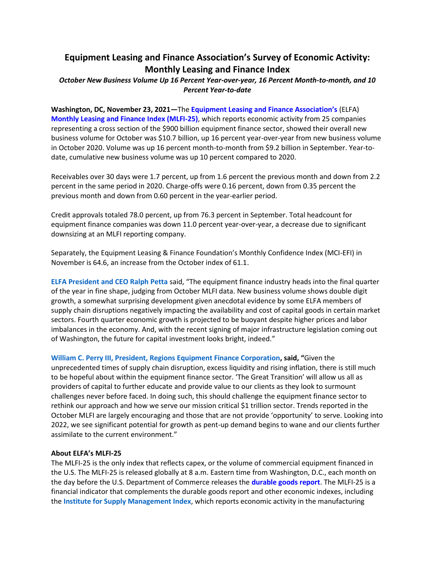# **Equipment Leasing and Finance Association's Survey of Economic Activity: Monthly Leasing and Finance Index**

# *October New Business Volume Up 16 Percent Year-over-year, 16 Percent Month-to-month, and 10 Percent Year-to-date*

**Washington, DC, November 23, 2021—**The **[Equipment Leasing and Finance Association's](http://www.elfaonline.org/)** (ELFA) **[Monthly Leasing and Finance Index \(MLFI-25\)](http://www.elfaonline.org/Data/MLFI/)**, which reports economic activity from 25 companies representing a cross section of the \$900 billion equipment finance sector, showed their overall new business volume for October was \$10.7 billion, up 16 percent year-over-year from new business volume in October 2020. Volume was up 16 percent month-to-month from \$9.2 billion in September. Year-todate, cumulative new business volume was up 10 percent compared to 2020.

Receivables over 30 days were 1.7 percent, up from 1.6 percent the previous month and down from 2.2 percent in the same period in 2020. Charge-offs were 0.16 percent, down from 0.35 percent the previous month and down from 0.60 percent in the year-earlier period.

Credit approvals totaled 78.0 percent, up from 76.3 percent in September. Total headcount for equipment finance companies was down 11.0 percent year-over-year, a decrease due to significant downsizing at an MLFI reporting company.

Separately, the Equipment Leasing & Finance Foundation's Monthly Confidence Index (MCI-EFI) in November is 64.6, an increase from the October index of 61.1.

**[ELFA President and CEO Ralph Petta](http://www.elfaonline.org/about/staff-contact-info/view-executive-staff-bios)** said, "The equipment finance industry heads into the final quarter of the year in fine shape, judging from October MLFI data. New business volume shows double digit growth, a somewhat surprising development given anecdotal evidence by some ELFA members of supply chain disruptions negatively impacting the availability and cost of capital goods in certain market sectors. Fourth quarter economic growth is projected to be buoyant despite higher prices and labor imbalances in the economy. And, with the recent signing of major infrastructure legislation coming out of Washington, the future for capital investment looks bright, indeed."

**[William C. Perry III, President, Regions Equipment Finance Corporation](https://www.regions.com/commercial-banking/equipment-finance), said, "**Given the unprecedented times of supply chain disruption, excess liquidity and rising inflation, there is still much to be hopeful about within the equipment finance sector. 'The Great Transition' will allow us all as providers of capital to further educate and provide value to our clients as they look to surmount challenges never before faced. In doing such, this should challenge the equipment finance sector to rethink our approach and how we serve our mission critical \$1 trillion sector. Trends reported in the October MLFI are largely encouraging and those that are not provide 'opportunity' to serve. Looking into 2022, we see significant potential for growth as pent-up demand begins to wane and our clients further assimilate to the current environment."

## **About ELFA's MLFI-25**

The MLFI-25 is the only index that reflects capex, or the volume of commercial equipment financed in the U.S. The MLFI-25 is released globally at 8 a.m. Eastern time from Washington, D.C., each month on the day before the U.S. Department of Commerce releases the **[durable goods report](http://www.census.gov/indicator/www/m3/)**. The MLFI-25 is a financial indicator that complements the durable goods report and other economic indexes, including the **[Institute for Supply Management Index](https://www.ismworld.org/supply-management-news-and-reports/reports/ism-report-on-business/)**, which reports economic activity in the manufacturing